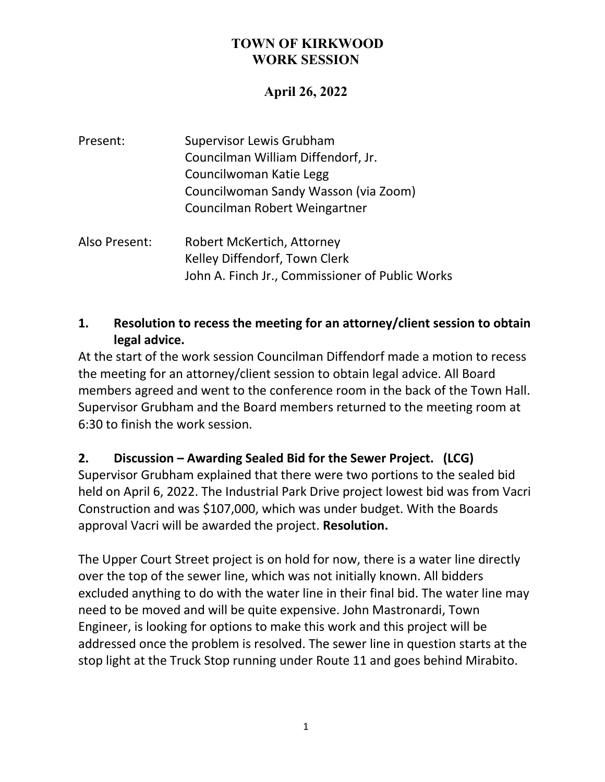## **April 26, 2022**

| Present: | <b>Supervisor Lewis Grubham</b>      |
|----------|--------------------------------------|
|          | Councilman William Diffendorf, Jr.   |
|          | Councilwoman Katie Legg              |
|          | Councilwoman Sandy Wasson (via Zoom) |
|          | Councilman Robert Weingartner        |
|          |                                      |

Also Present: Robert McKertich, Attorney Kelley Diffendorf, Town Clerk John A. Finch Jr., Commissioner of Public Works

### **1. Resolution to recess the meeting for an attorney/client session to obtain legal advice.**

At the start of the work session Councilman Diffendorf made a motion to recess the meeting for an attorney/client session to obtain legal advice. All Board members agreed and went to the conference room in the back of the Town Hall. Supervisor Grubham and the Board members returned to the meeting room at 6:30 to finish the work session.

### **2. Discussion – Awarding Sealed Bid for the Sewer Project. (LCG)**

Supervisor Grubham explained that there were two portions to the sealed bid held on April 6, 2022. The Industrial Park Drive project lowest bid was from Vacri Construction and was \$107,000, which was under budget. With the Boards approval Vacri will be awarded the project. **Resolution.**

The Upper Court Street project is on hold for now, there is a water line directly over the top of the sewer line, which was not initially known. All bidders excluded anything to do with the water line in their final bid. The water line may need to be moved and will be quite expensive. John Mastronardi, Town Engineer, is looking for options to make this work and this project will be addressed once the problem is resolved. The sewer line in question starts at the stop light at the Truck Stop running under Route 11 and goes behind Mirabito.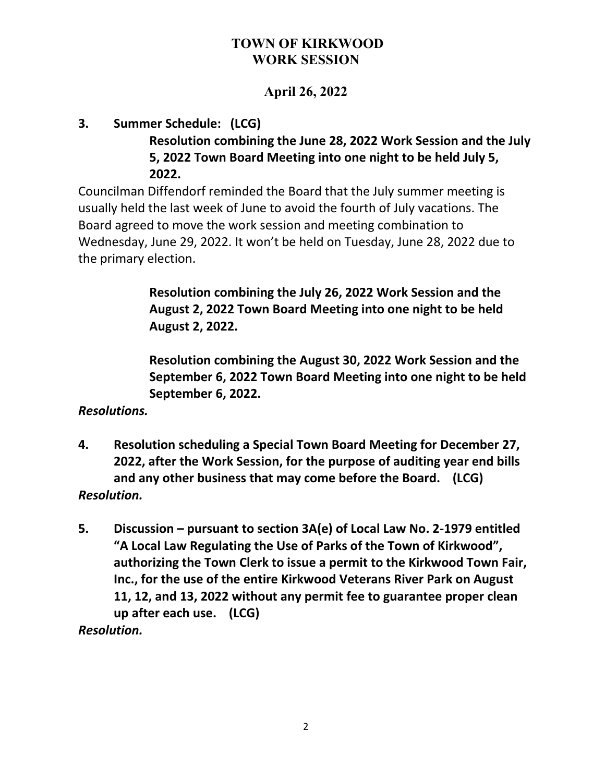## **April 26, 2022**

#### **3. Summer Schedule: (LCG) Resolution combining the June 28, 2022 Work Session and the July 5, 2022 Town Board Meeting into one night to be held July 5, 2022.**

Councilman Diffendorf reminded the Board that the July summer meeting is usually held the last week of June to avoid the fourth of July vacations. The Board agreed to move the work session and meeting combination to Wednesday, June 29, 2022. It won't be held on Tuesday, June 28, 2022 due to the primary election.

> **Resolution combining the July 26, 2022 Work Session and the August 2, 2022 Town Board Meeting into one night to be held August 2, 2022.**

**Resolution combining the August 30, 2022 Work Session and the September 6, 2022 Town Board Meeting into one night to be held September 6, 2022.**

### *Resolutions.*

- **4. Resolution scheduling a Special Town Board Meeting for December 27, 2022, after the Work Session, for the purpose of auditing year end bills and any other business that may come before the Board. (LCG)** *Resolution.*
- **5. Discussion – pursuant to section 3A(e) of Local Law No. 2-1979 entitled "A Local Law Regulating the Use of Parks of the Town of Kirkwood", authorizing the Town Clerk to issue a permit to the Kirkwood Town Fair, Inc., for the use of the entire Kirkwood Veterans River Park on August 11, 12, and 13, 2022 without any permit fee to guarantee proper clean up after each use. (LCG)** *Resolution.*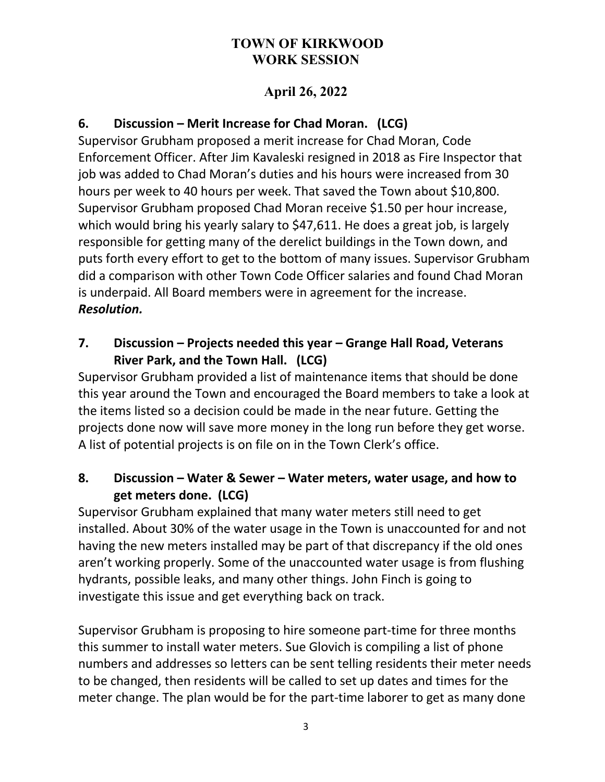## **April 26, 2022**

## **6. Discussion – Merit Increase for Chad Moran. (LCG)**

Supervisor Grubham proposed a merit increase for Chad Moran, Code Enforcement Officer. After Jim Kavaleski resigned in 2018 as Fire Inspector that job was added to Chad Moran's duties and his hours were increased from 30 hours per week to 40 hours per week. That saved the Town about \$10,800. Supervisor Grubham proposed Chad Moran receive \$1.50 per hour increase, which would bring his yearly salary to \$47,611. He does a great job, is largely responsible for getting many of the derelict buildings in the Town down, and puts forth every effort to get to the bottom of many issues. Supervisor Grubham did a comparison with other Town Code Officer salaries and found Chad Moran is underpaid. All Board members were in agreement for the increase. *Resolution.*

### **7. Discussion – Projects needed this year – Grange Hall Road, Veterans River Park, and the Town Hall. (LCG)**

Supervisor Grubham provided a list of maintenance items that should be done this year around the Town and encouraged the Board members to take a look at the items listed so a decision could be made in the near future. Getting the projects done now will save more money in the long run before they get worse. A list of potential projects is on file on in the Town Clerk's office.

### **8. Discussion – Water & Sewer – Water meters, water usage, and how to get meters done. (LCG)**

Supervisor Grubham explained that many water meters still need to get installed. About 30% of the water usage in the Town is unaccounted for and not having the new meters installed may be part of that discrepancy if the old ones aren't working properly. Some of the unaccounted water usage is from flushing hydrants, possible leaks, and many other things. John Finch is going to investigate this issue and get everything back on track.

Supervisor Grubham is proposing to hire someone part-time for three months this summer to install water meters. Sue Glovich is compiling a list of phone numbers and addresses so letters can be sent telling residents their meter needs to be changed, then residents will be called to set up dates and times for the meter change. The plan would be for the part-time laborer to get as many done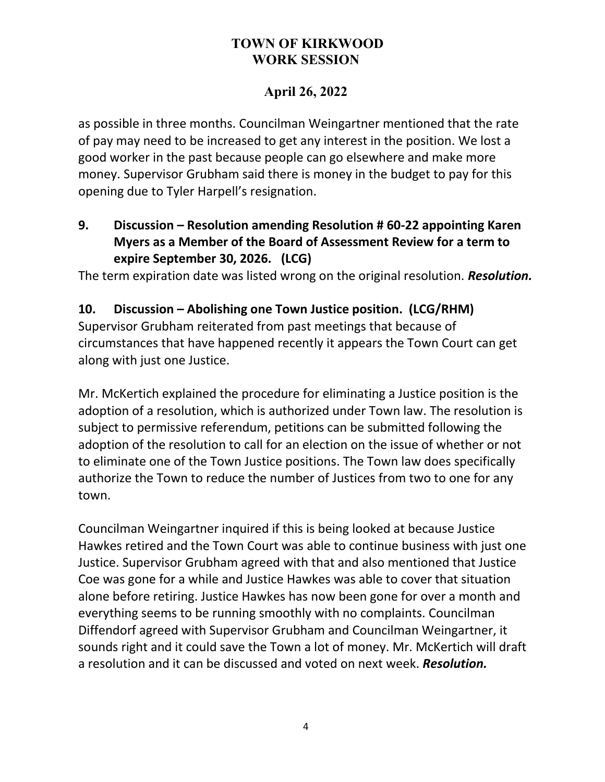# **April 26, 2022**

as possible in three months. Councilman Weingartner mentioned that the rate of pay may need to be increased to get any interest in the position. We lost a good worker in the past because people can go elsewhere and make more money. Supervisor Grubham said there is money in the budget to pay for this opening due to Tyler Harpell's resignation.

## **9. Discussion – Resolution amending Resolution # 60-22 appointing Karen Myers as a Member of the Board of Assessment Review for a term to expire September 30, 2026. (LCG)**

The term expiration date was listed wrong on the original resolution. *Resolution.*

### **10. Discussion – Abolishing one Town Justice position. (LCG/RHM)**

Supervisor Grubham reiterated from past meetings that because of circumstances that have happened recently it appears the Town Court can get along with just one Justice.

Mr. McKertich explained the procedure for eliminating a Justice position is the adoption of a resolution, which is authorized under Town law. The resolution is subject to permissive referendum, petitions can be submitted following the adoption of the resolution to call for an election on the issue of whether or not to eliminate one of the Town Justice positions. The Town law does specifically authorize the Town to reduce the number of Justices from two to one for any town.

Councilman Weingartner inquired if this is being looked at because Justice Hawkes retired and the Town Court was able to continue business with just one Justice. Supervisor Grubham agreed with that and also mentioned that Justice Coe was gone for a while and Justice Hawkes was able to cover that situation alone before retiring. Justice Hawkes has now been gone for over a month and everything seems to be running smoothly with no complaints. Councilman Diffendorf agreed with Supervisor Grubham and Councilman Weingartner, it sounds right and it could save the Town a lot of money. Mr. McKertich will draft a resolution and it can be discussed and voted on next week. *Resolution.*